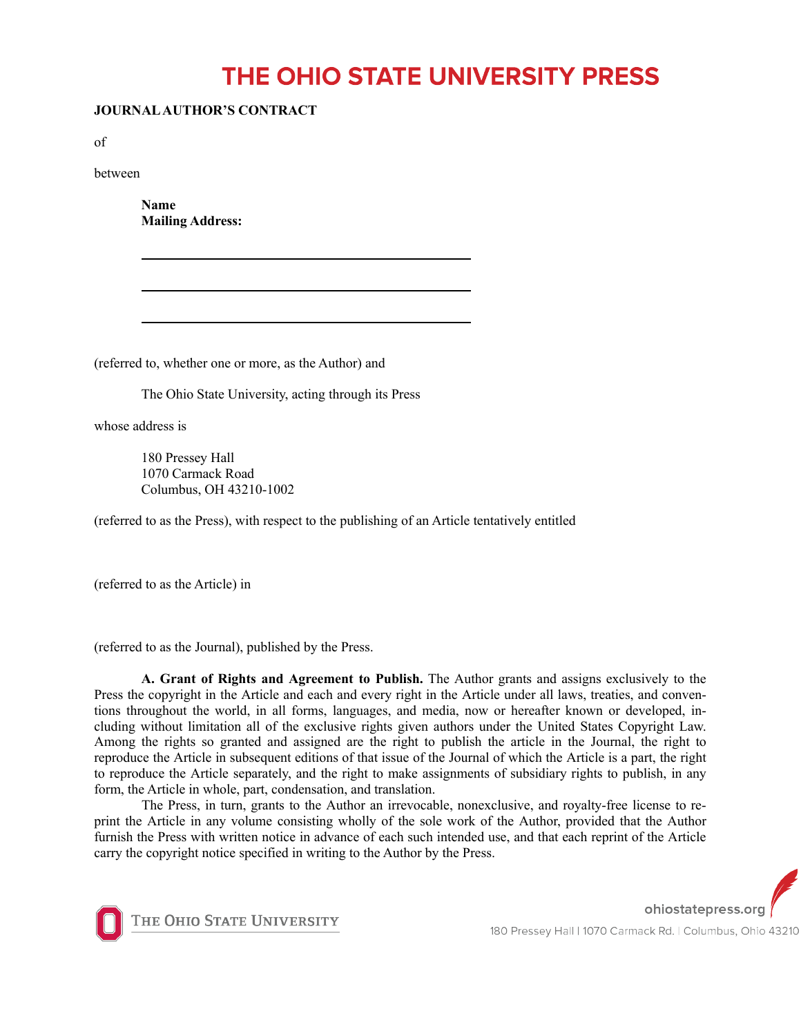## THE OHIO STATE UNIVERSITY PRESS

## **JOURNAL AUTHOR'S CONTRACT**

of

between

**Name Mailing Address:**

(referred to, whether one or more, as the Author) and

The Ohio State University, acting through its Press

whose address is

180 Pressey Hall 1070 Carmack Road Columbus, OH 43210-1002

(referred to as the Press), with respect to the publishing of an Article tentatively entitled

(referred to as the Article) in

(referred to as the Journal), published by the Press.

**A. Grant of Rights and Agreement to Publish.** The Author grants and assigns exclusively to the Press the copyright in the Article and each and every right in the Article under all laws, treaties, and conventions throughout the world, in all forms, languages, and media, now or hereafter known or developed, including without limitation all of the exclusive rights given authors under the United States Copyright Law. Among the rights so granted and assigned are the right to publish the article in the Journal, the right to reproduce the Article in subsequent editions of that issue of the Journal of which the Article is a part, the right to reproduce the Article separately, and the right to make assignments of subsidiary rights to publish, in any form, the Article in whole, part, condensation, and translation.

The Press, in turn, grants to the Author an irrevocable, nonexclusive, and royalty-free license to reprint the Article in any volume consisting wholly of the sole work of the Author, provided that the Author furnish the Press with written notice in advance of each such intended use, and that each reprint of the Article carry the copyright notice specified in writing to the Author by the Press.



THE OHIO STATE UNIVERSITY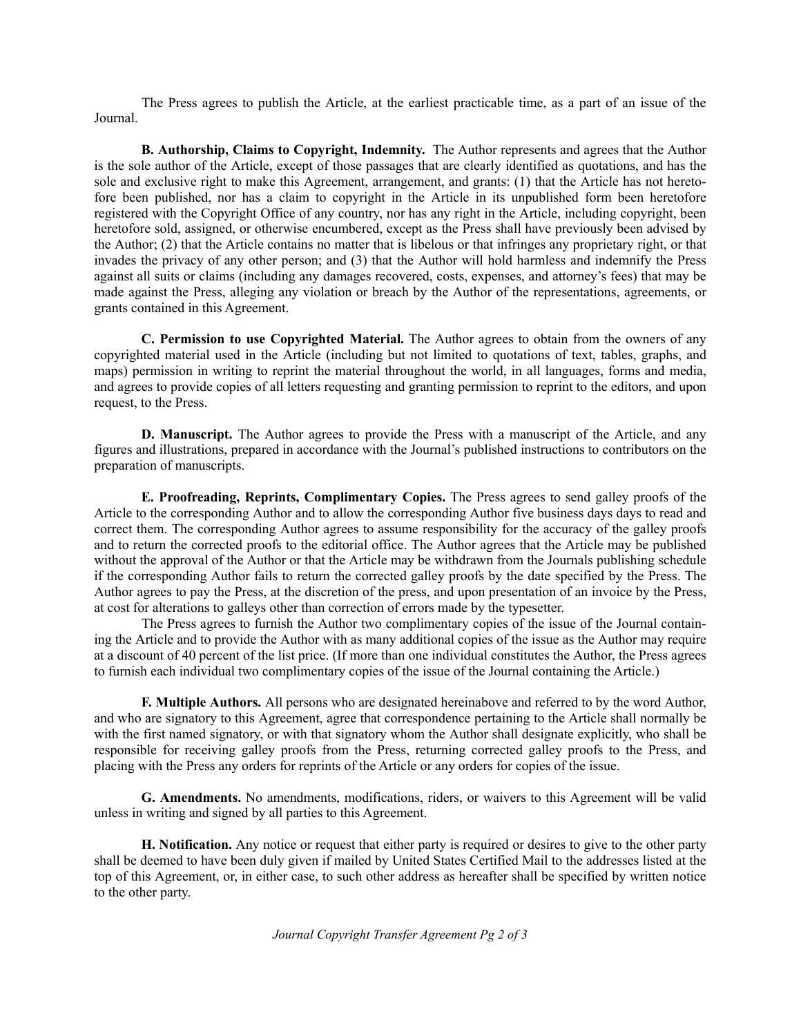The Press agrees to publish the Article, at the earliest practicable time, as a part of an issue of the Journal.

**B. Authorship, Claims to Copyright, Indemnity.** The Author represents and agrees that the Author is the sole author of the Article, except of those passages that are clearly identified as quotations, and has the sole and exclusive right to make this Agreement, arrangement, and grants: (1) that the Article has not heretofore been published, nor has a claim to copyright in the Article in its unpublished form been heretofore registered with the Copyright Office of any country, nor has any right in the Article, including copyright, been heretofore sold, assigned, or otherwise encumbered, except as the Press shall have previously been advised by the Author; (2) that the Article contains no matter that is libelous or that infringes any proprietary right, or that invades the privacy of any other person; and (3) that the Author will hold harmless and indemnify the Press against all suits or claims (including any damages recovered, costs, expenses, and attorney's fees) that may be made against the Press, alleging any violation or breach by the Author of the representations, agreements, or grants contained in this Agreement.

**C. Permission to use Copyrighted Material.** The Author agrees to obtain from the owners of any copyrighted material used in the Article (including but not limited to quotations of text, tables, graphs, and maps) permission in writing to reprint the material throughout the world, in all languages, forms and media, and agrees to provide copies of all letters requesting and granting permission to reprint to the editors, and upon request, to the Press.

**D. Manuscript.** The Author agrees to provide the Press with a manuscript of the Article, and any figures and illustrations, prepared in accordance with the Journal's published instructions to contributors on the preparation of manuscripts.

**E. Proofreading, Reprints, Complimentary Copies.** The Press agrees to send galley proofs of the Article to the corresponding Author and to allow the corresponding Author five business days days to read and correct them. The corresponding Author agrees to assume responsibility for the accuracy of the galley proofs and to return the corrected proofs to the editorial office. The Author agrees that the Article may be published without the approval of the Author or that the Article may be withdrawn from the Journals publishing schedule if the corresponding Author fails to return the corrected galley proofs by the date specified by the Press. The Author agrees to pay the Press, at the discretion of the press, and upon presentation of an invoice by the Press, at cost for alterations to galleys other than correction of errors made by the typesetter.

The Press agrees to furnish the Author two complimentary copies of the issue of the Journal containing the Article and to provide the Author with as many additional copies of the issue as the Author may require at a discount of 40 percent of the list price. (If more than one individual constitutes the Author, the Press agrees to furnish each individual two complimentary copies of the issue of the Journal containing the Article.)

**F. Multiple Authors.** All persons who are designated hereinabove and referred to by the word Author, and who are signatory to this Agreement, agree that correspondence pertaining to the Article shall normally be with the first named signatory, or with that signatory whom the Author shall designate explicitly, who shall be responsible for receiving galley proofs from the Press, returning corrected galley proofs to the Press, and placing with the Press any orders for reprints of the Article or any orders for copies of the issue.

**G. Amendments.** No amendments, modifications, riders, or waivers to this Agreement will be valid unless in writing and signed by all parties to this Agreement.

**H. Notification.** Any notice or request that either party is required or desires to give to the other party shall be deemed to have been duly given if mailed by United States Certified Mail to the addresses listed at the top of this Agreement, or, in either case, to such other address as hereafter shall be specified by written notice to the other party.

*Journal Copyright Transfer Agreement Pg 2 of 3*